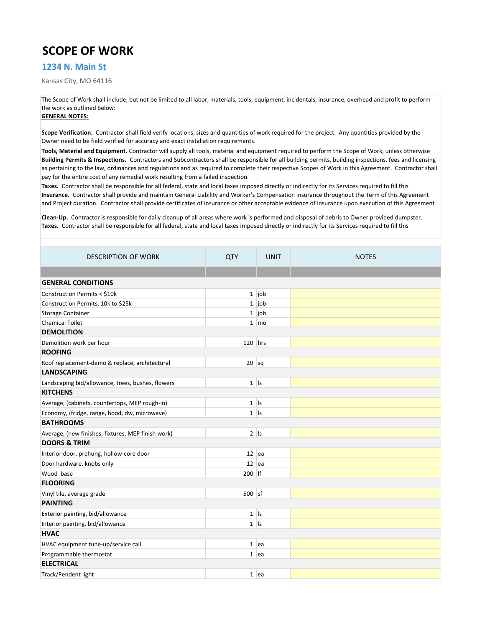## SCOPE OF WORK

## 1234 N. Main St

Kansas City, MO 64116

The Scope of Work shall include, but not be limited to all labor, materials, tools, equipment, incidentals, insurance, overhead and profit to perform the work as outlined below:

## GENERAL NOTES:

Scope Verification. Contractor shall field verify locations, sizes and quantities of work required for the project. Any quantities provided by the Owner need to be field verified for accuracy and exact installation requirements.

Building Permits & Inspections. Contractors and Subcontractors shall be responsible for all building permits, building inspections, fees and licensing as pertaining to the law, ordinances and regulations and as required to complete their respective Scopes of Work in this Agreement. Contractor shall pay for the entire cost of any remedial work resulting from a failed inspection. Tools, Material and Equipment. Contractor will supply all tools, material and equipment required to perform the Scope of Work, unless otherwise

Insurance. Contractor shall provide and maintain General Liability and Worker's Compensation insurance throughout the Term of this Agreement and Project duration. Contractor shall provide certificates of insurance or other acceptable evidence of insurance upon execution of this Agreement Taxes. Contractor shall be responsible for all federal, state and local taxes imposed directly or indirectly for its Services required to fill this

Taxes. Contractor shall be responsible for all federal, state and local taxes imposed directly or indirectly for its Services required to fill this Clean-Up. Contractor is responsible for daily cleanup of all areas where work is performed and disposal of debris to Owner provided dumpster.

| <b>DESCRIPTION OF WORK</b>                         | <b>QTY</b> | <b>UNIT</b>        | <b>NOTES</b> |  |  |
|----------------------------------------------------|------------|--------------------|--------------|--|--|
|                                                    |            |                    |              |  |  |
| <b>GENERAL CONDITIONS</b>                          |            |                    |              |  |  |
| Construction Permits < \$10k                       |            | $1$ job            |              |  |  |
| Construction Permits, 10k to \$25k                 |            | $1$ job            |              |  |  |
| <b>Storage Container</b>                           |            | $1$ job            |              |  |  |
| <b>Chemical Toilet</b>                             |            | $1 \mid \text{mo}$ |              |  |  |
| <b>DEMOLITION</b>                                  |            |                    |              |  |  |
| Demolition work per hour                           | $120$ hrs  |                    |              |  |  |
| <b>ROOFING</b>                                     |            |                    |              |  |  |
| Roof replacement-demo & replace, architectural     | $20$ sq    |                    |              |  |  |
| <b>LANDSCAPING</b>                                 |            |                    |              |  |  |
| Landscaping bid/allowance, trees, bushes, flowers  | $1$  s     |                    |              |  |  |
| <b>KITCHENS</b>                                    |            |                    |              |  |  |
| Average, (cabinets, countertops, MEP rough-in)     | $1$  s     |                    |              |  |  |
| Economy, (fridge, range, hood, dw, microwave)      | $1$  s     |                    |              |  |  |
| <b>BATHROOMS</b>                                   |            |                    |              |  |  |
| Average, (new finishes, fixtures, MEP finish work) | $2$ Is     |                    |              |  |  |
| <b>DOORS &amp; TRIM</b>                            |            |                    |              |  |  |
| Interior door, prehung, hollow-core door           | $12$ ea    |                    |              |  |  |
| Door hardware, knobs only                          | $12$ ea    |                    |              |  |  |
| Wood base                                          | 200 lf     |                    |              |  |  |
| <b>FLOORING</b>                                    |            |                    |              |  |  |
| Vinyl tile, average grade                          | $500$ sf   |                    |              |  |  |
| <b>PAINTING</b>                                    |            |                    |              |  |  |
| Exterior painting, bid/allowance                   | $1$  s     |                    |              |  |  |
| Interior painting, bid/allowance                   | $1$ Is     |                    |              |  |  |
| <b>HVAC</b>                                        |            |                    |              |  |  |
| HVAC equipment tune-up/service call                |            | $1$ ea             |              |  |  |
| Programmable thermostat                            |            | $1$ ea             |              |  |  |
| <b>ELECTRICAL</b>                                  |            |                    |              |  |  |
| Track/Pendent light                                |            | $1$ ea             |              |  |  |
|                                                    |            |                    |              |  |  |